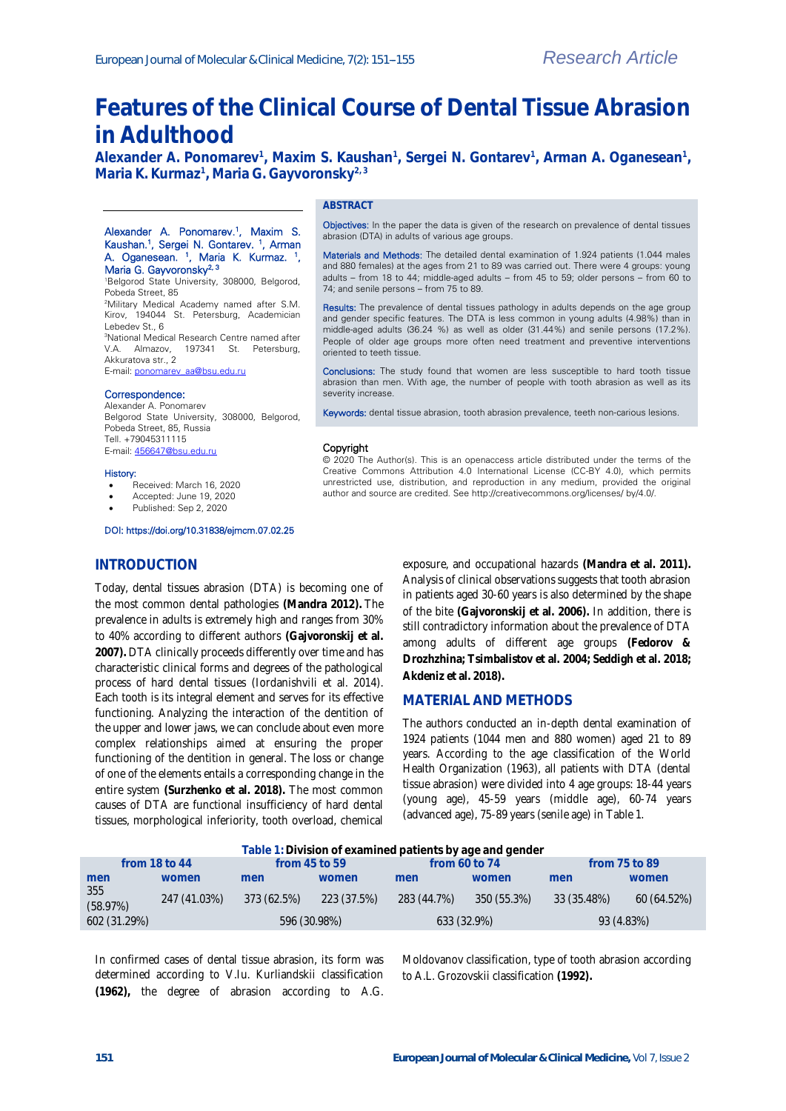# **Features of the Clinical Course of Dental Tissue Abrasion in Adulthood**

Alexander A. Ponomarev<sup>1</sup>, Maxim S. Kaushan<sup>1</sup>, Sergei N. Gontarev<sup>1</sup>, Arman A. Oganesean<sup>1</sup>, **Maria K. Kurmaz<sup>1</sup> , Maria G. Gayvoronsky2, 3**

abrasion (DTA) in adults of various age groups.

74; and senile persons – from 75 to 89.

oriented to teeth tissue.

severity increase.

Copyright

### **ABSTRACT**

#### Alexander A. Ponomarev.<sup>1</sup>, Maxim S. Kaushan.<sup>1</sup>, Sergei N. Gontarev. <sup>1</sup>, Arman A. Oganesean. <sup>1</sup> , Maria K. Kurmaz. <sup>1</sup> , Maria G. Gayvoronsky<sup>2, 3</sup>

<sup>1</sup>Belgorod State University, 308000, Belgorod, Pobeda Street, 85 <sup>2</sup>Military Medical Academy named after S.M. Kirov, 194044 St. Petersburg, Academician Lebedev St., 6

<sup>3</sup>National Medical Research Centre named after V.A. Almazov, 197341 St. Petersburg, Akkuratova str., 2

E-mail: [ponomarev\\_aa@bsu.edu.ru](mailto:ponomarev_aa@bsu.edu.ru)

#### Correspondence:

Alexander A. Ponomarev Belgorod State University, 308000, Belgorod, Pobeda Street, 85, Russia Tell. +79045311115 E-mail[: 456647@bsu.edu.ru](mailto:456647@bsu.edu.ru)

#### History:

- Received: March 16, 2020
- Accepted: June 19, 2020
- Published: Sep 2, 2020

#### DOI: https://doi.org/10.31838/ejmcm.07.02.25

## **INTRODUCTION**

Today, dental tissues abrasion (DTA) is becoming one of the most common dental pathologies **(Mandra 2012).** The prevalence in adults is extremely high and ranges from 30% to 40% according to different authors **(Gajvoronskij et al. 2007).** DTA clinically proceeds differently over time and has characteristic clinical forms and degrees of the pathological process of hard dental tissues (Iordanishvili et al. 2014). Each tooth is its integral element and serves for its effective functioning. Analyzing the interaction of the dentition of the upper and lower jaws, we can conclude about even more complex relationships aimed at ensuring the proper functioning of the dentition in general. The loss or change of one of the elements entails a corresponding change in the entire system **(Surzhenko et al. 2018).** The most common causes of DTA are functional insufficiency of hard dental tissues, morphological inferiority, tooth overload, chemical

exposure, and occupational hazards **(Mandra et al. 2011).** Analysis of clinical observations suggests that tooth abrasion in patients aged 30-60 years is also determined by the shape of the bite **(Gajvoronskij et al. 2006).** In addition, there is still contradictory information about the prevalence of DTA among adults of different age groups **(Fedorov & Drozhzhina; Tsimbalistov et al. 2004; Seddigh et al. 2018; Akdeniz et al. 2018).**

# **MATERIAL AND METHODS**

Objectives: In the paper the data is given of the research on prevalence of dental tissues

Materials and Methods: The detailed dental examination of 1.924 patients (1.044 males and 880 females) at the ages from 21 to 89 was carried out. There were 4 groups: young adults – from 18 to 44; middle-aged adults – from 45 to 59; older persons – from 60 to

Results: The prevalence of dental tissues pathology in adults depends on the age group and gender specific features. The DTA is less common in young adults (4.98%) than in middle-aged adults (36.24 %) as well as older (31.44%) and senile persons (17.2%). People of older age groups more often need treatment and preventive interventions

Conclusions: The study found that women are less susceptible to hard tooth tissue abrasion than men. With age, the number of people with tooth abrasion as well as its

Keywords: dental tissue abrasion, tooth abrasion prevalence, teeth non-carious lesions.

© 2020 The Author(s). This is an openaccess article distributed under the terms of the Creative Commons Attribution 4.0 International License (CC-BY 4.0), which permits unrestricted use, distribution, and reproduction in any medium, provided the original author and source are credited. See http://creativecommons.org/licenses/ by/4.0/.

> The authors conducted an in-depth dental examination of 1924 patients (1044 men and 880 women) aged 21 to 89 years. According to the age classification of the World Health Organization (1963), all patients with DTA (dental tissue abrasion) were divided into 4 age groups: 18-44 years (young age), 45-59 years (middle age), 60-74 years (advanced age), 75-89 years (senile age) in Table 1.

| Table 1: Division of examined patients by age and gender |              |                   |             |                 |             |                   |             |
|----------------------------------------------------------|--------------|-------------------|-------------|-----------------|-------------|-------------------|-------------|
| from $18$ to $44$                                        |              | from $45$ to $59$ |             | from 60 to $74$ |             | from $75$ to $89$ |             |
| men                                                      | women        | men               | women       | men             | women       | men               | women       |
| 355<br>(58.97%)                                          | 247 (41.03%) | 373 (62.5%)       | 223 (37.5%) | 283 (44.7%)     | 350 (55.3%) | 33 (35.48%)       | 60 (64.52%) |
| 602 (31.29%)                                             |              | 596 (30.98%)      |             | 633 (32.9%)     |             | 93 (4.83%)        |             |

In confirmed cases of dental tissue abrasion, its form was determined according to V.Iu. Kurliandskii classification **(1962),** the degree of abrasion according to A.G.

Moldovanov classification, type of tooth abrasion according to A.L. Grozovskii classification **(1992).**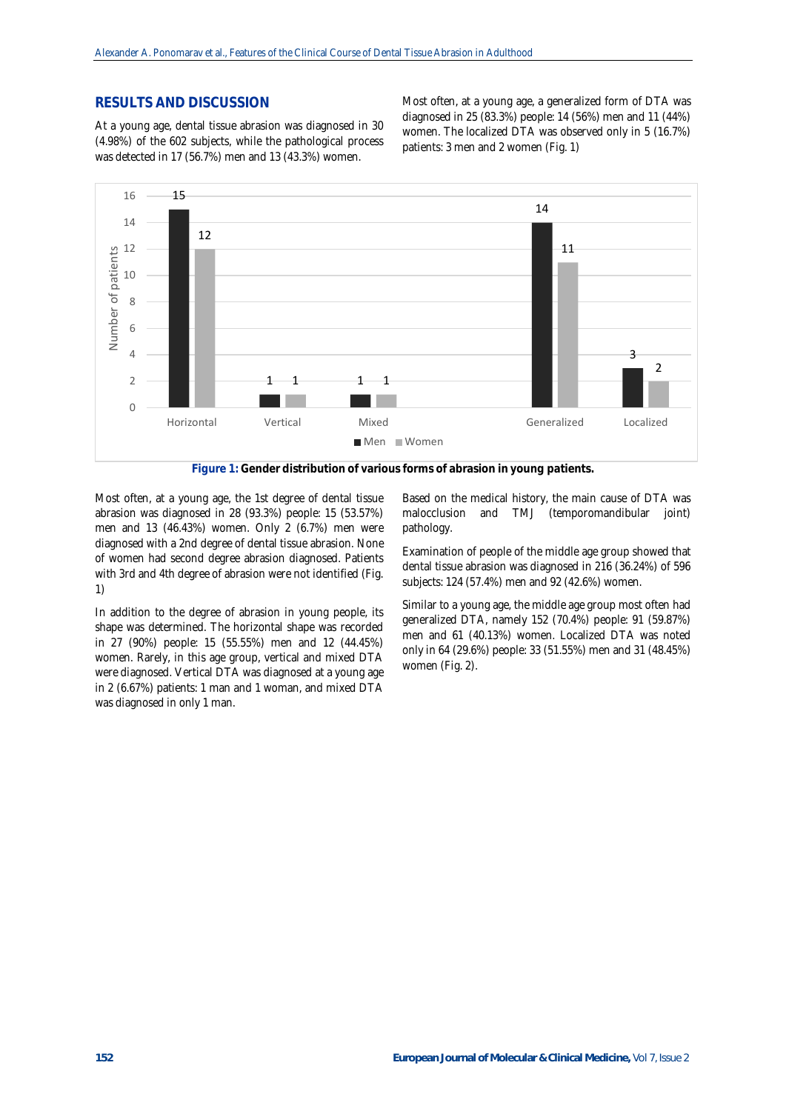## **RESULTS AND DISCUSSION**

At a young age, dental tissue abrasion was diagnosed in 30 (4.98%) of the 602 subjects, while the pathological process was detected in 17 (56.7%) men and 13 (43.3%) women.

Most often, at a young age, a generalized form of DTA was diagnosed in 25 (83.3%) people: 14 (56%) men and 11 (44%) women. The localized DTA was observed only in 5 (16.7%) patients: 3 men and 2 women (Fig. 1)



**Figure 1: Gender distribution of various forms of abrasion in young patients.**

Most often, at a young age, the 1st degree of dental tissue abrasion was diagnosed in 28 (93.3%) people: 15 (53.57%) men and 13 (46.43%) women. Only 2 (6.7%) men were diagnosed with a 2nd degree of dental tissue abrasion. None of women had second degree abrasion diagnosed. Patients with 3rd and 4th degree of abrasion were not identified (Fig. 1)

In addition to the degree of abrasion in young people, its shape was determined. The horizontal shape was recorded in 27 (90%) people: 15 (55.55%) men and 12 (44.45%) women. Rarely, in this age group, vertical and mixed DTA were diagnosed. Vertical DTA was diagnosed at a young age in 2 (6.67%) patients: 1 man and 1 woman, and mixed DTA was diagnosed in only 1 man.

Based on the medical history, the main cause of DTA was malocclusion and TMJ (temporomandibular joint) pathology.

Examination of people of the middle age group showed that dental tissue abrasion was diagnosed in 216 (36.24%) of 596 subjects: 124 (57.4%) men and 92 (42.6%) women.

Similar to a young age, the middle age group most often had generalized DTA, namely 152 (70.4%) people: 91 (59.87%) men and 61 (40.13%) women. Localized DTA was noted only in 64 (29.6%) people: 33 (51.55%) men and 31 (48.45%) women (Fig. 2).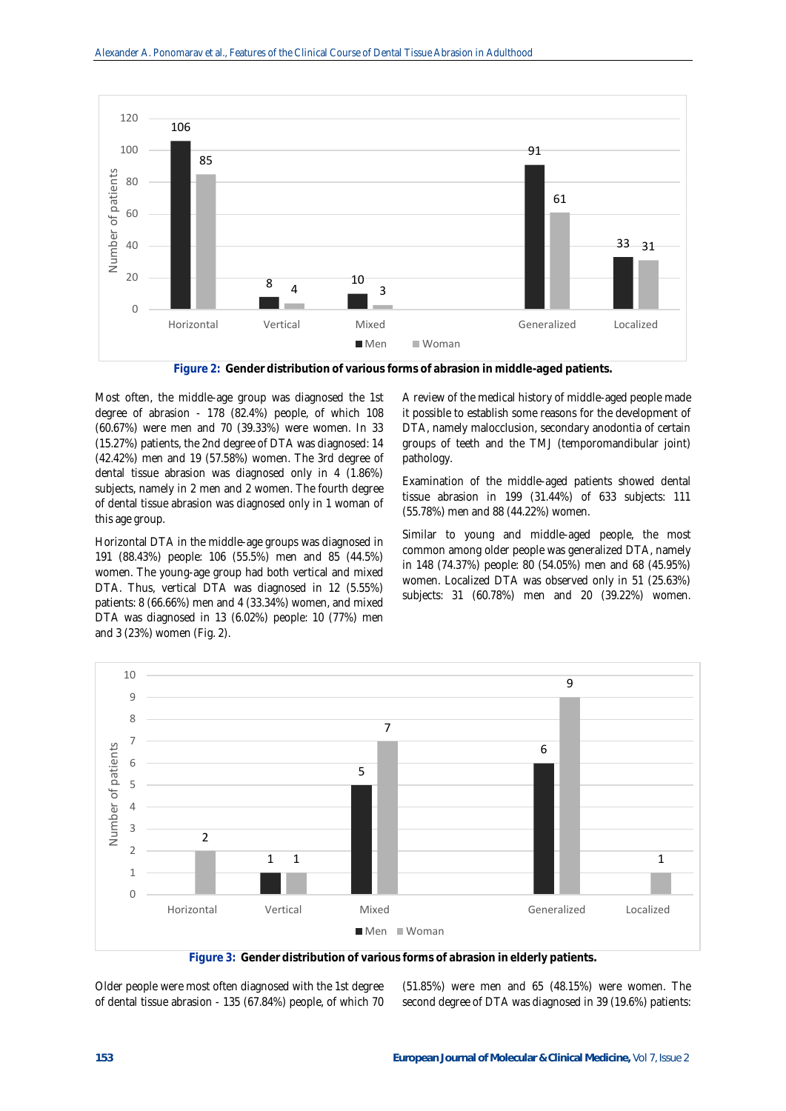

**Figure 2: Gender distribution of various forms of abrasion in middle-aged patients.**

Most often, the middle-age group was diagnosed the 1st degree of abrasion - 178 (82.4%) people, of which 108 (60.67%) were men and 70 (39.33%) were women. In 33 (15.27%) patients, the 2nd degree of DTA was diagnosed: 14 (42.42%) men and 19 (57.58%) women. The 3rd degree of dental tissue abrasion was diagnosed only in 4 (1.86%) subjects, namely in 2 men and 2 women. The fourth degree of dental tissue abrasion was diagnosed only in 1 woman of this age group.

Horizontal DTA in the middle-age groups was diagnosed in 191 (88.43%) people: 106 (55.5%) men and 85 (44.5%) women. The young-age group had both vertical and mixed DTA. Thus, vertical DTA was diagnosed in 12 (5.55%) patients: 8 (66.66%) men and 4 (33.34%) women, and mixed DTA was diagnosed in 13 (6.02%) people: 10 (77%) men and 3 (23%) women (Fig. 2).

A review of the medical history of middle-aged people made it possible to establish some reasons for the development of DTA, namely malocclusion, secondary anodontia of certain groups of teeth and the TMJ (temporomandibular joint) pathology.

Examination of the middle-aged patients showed dental tissue abrasion in 199 (31.44%) of 633 subjects: 111 (55.78%) men and 88 (44.22%) women.

Similar to young and middle-aged people, the most common among older people was generalized DTA, namely in 148 (74.37%) people: 80 (54.05%) men and 68 (45.95%) women. Localized DTA was observed only in 51 (25.63%) subjects: 31 (60.78%) men and 20 (39.22%) women.



**Figure 3: Gender distribution of various forms of abrasion in elderly patients.**

Older people were most often diagnosed with the 1st degree of dental tissue abrasion - 135 (67.84%) people, of which 70

(51.85%) were men and 65 (48.15%) were women. The second degree of DTA was diagnosed in 39 (19.6%) patients: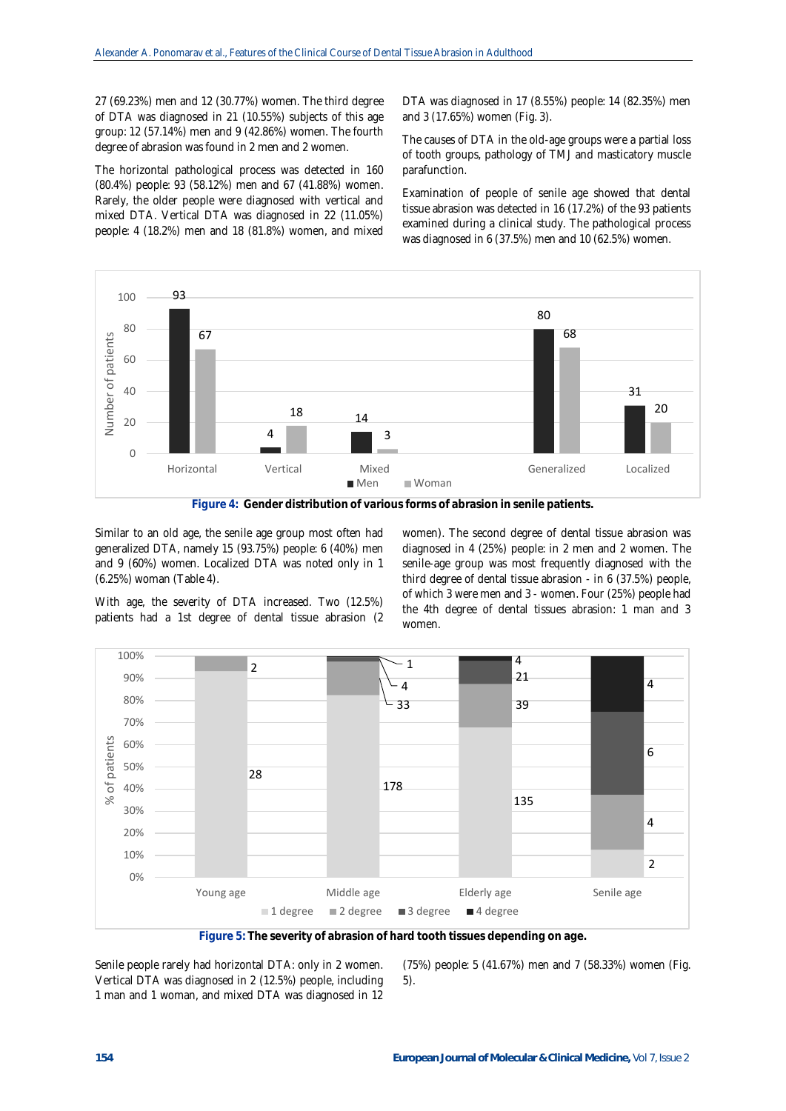27 (69.23%) men and 12 (30.77%) women. The third degree of DTA was diagnosed in 21 (10.55%) subjects of this age group: 12 (57.14%) men and 9 (42.86%) women. The fourth degree of abrasion was found in 2 men and 2 women.

The horizontal pathological process was detected in 160 (80.4%) people: 93 (58.12%) men and 67 (41.88%) women. Rarely, the older people were diagnosed with vertical and mixed DTA. Vertical DTA was diagnosed in 22 (11.05%) people: 4 (18.2%) men and 18 (81.8%) women, and mixed

DTA was diagnosed in 17 (8.55%) people: 14 (82.35%) men and 3 (17.65%) women (Fig. 3).

The causes of DTA in the old-age groups were a partial loss of tooth groups, pathology of TMJ and masticatory muscle parafunction.

Examination of people of senile age showed that dental tissue abrasion was detected in 16 (17.2%) of the 93 patients examined during a clinical study. The pathological process was diagnosed in 6 (37.5%) men and 10 (62.5%) women.





Similar to an old age, the senile age group most often had generalized DTA, namely 15 (93.75%) people: 6 (40%) men and 9 (60%) women. Localized DTA was noted only in 1 (6.25%) woman (Table 4).

With age, the severity of DTA increased. Two (12.5%) patients had a 1st degree of dental tissue abrasion (2 women). The second degree of dental tissue abrasion was diagnosed in 4 (25%) people: in 2 men and 2 women. The senile-age group was most frequently diagnosed with the third degree of dental tissue abrasion - in 6 (37.5%) people, of which 3 were men and 3 - women. Four (25%) people had the 4th degree of dental tissues abrasion: 1 man and 3 women.



**Figure 5: The severity of abrasion of hard tooth tissues depending on age.**

Senile people rarely had horizontal DTA: only in 2 women. Vertical DTA was diagnosed in 2 (12.5%) people, including 1 man and 1 woman, and mixed DTA was diagnosed in 12

(75%) people: 5 (41.67%) men and 7 (58.33%) women (Fig. 5).